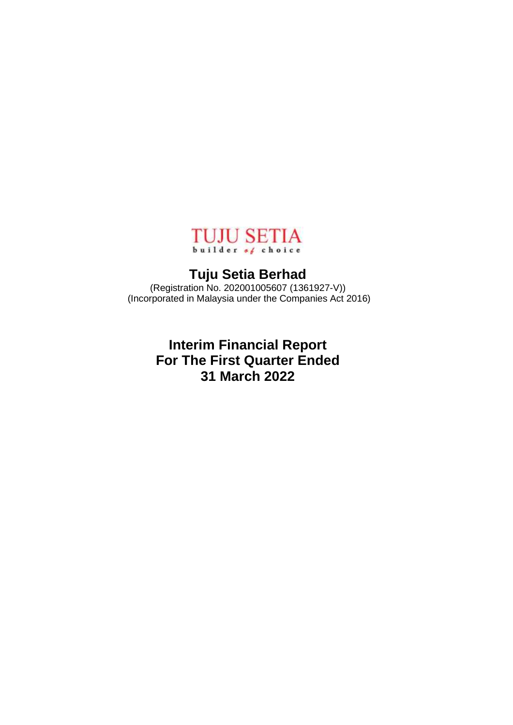

# **Tuju Setia Berhad**

(Registration No. 202001005607 (1361927-V)) (Incorporated in Malaysia under the Companies Act 2016)

> **Interim Financial Report For The First Quarter Ended 31 March 2022**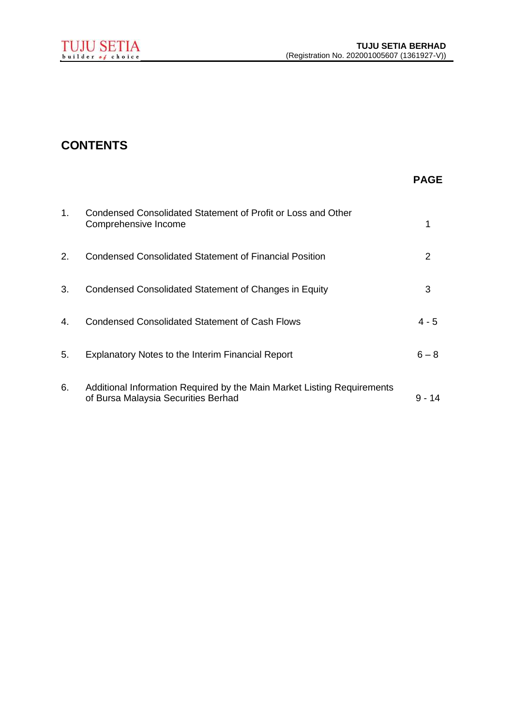# **CONTENTS**

## **PAGE**

| 1. | Condensed Consolidated Statement of Profit or Loss and Other<br>Comprehensive Income                           |          |
|----|----------------------------------------------------------------------------------------------------------------|----------|
| 2. | Condensed Consolidated Statement of Financial Position                                                         | 2        |
| 3. | Condensed Consolidated Statement of Changes in Equity                                                          | 3        |
| 4. | Condensed Consolidated Statement of Cash Flows                                                                 | $4 - 5$  |
| 5. | <b>Explanatory Notes to the Interim Financial Report</b>                                                       | $6 - 8$  |
| 6. | Additional Information Required by the Main Market Listing Requirements<br>of Bursa Malaysia Securities Berhad | $9 - 14$ |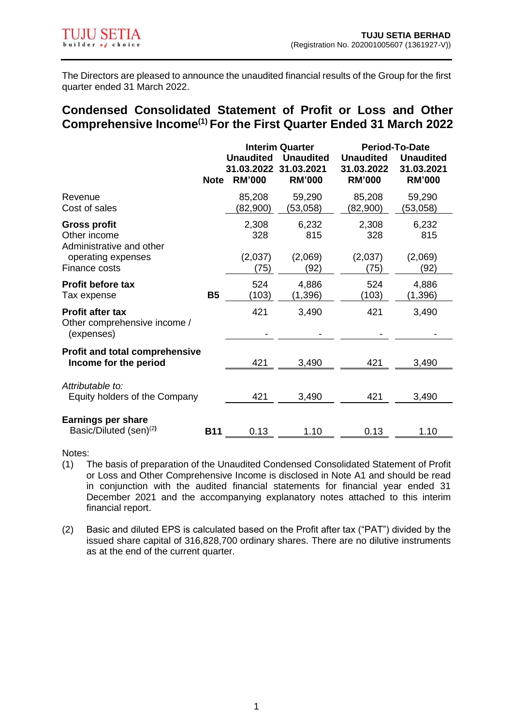The Directors are pleased to announce the unaudited financial results of the Group for the first quarter ended 31 March 2022.

## **Condensed Consolidated Statement of Profit or Loss and Other Comprehensive Income(1) For the First Quarter Ended 31 March 2022**

|                                                                       | <b>Note</b> | <b>Unaudited</b><br>31.03.2022<br><b>RM'000</b> | <b>Interim Quarter</b><br><b>Unaudited</b><br>31.03.2021<br><b>RM'000</b> | <b>Unaudited</b><br>31.03.2022<br><b>RM'000</b> | <b>Period-To-Date</b><br><b>Unaudited</b><br>31.03.2021<br><b>RM'000</b> |
|-----------------------------------------------------------------------|-------------|-------------------------------------------------|---------------------------------------------------------------------------|-------------------------------------------------|--------------------------------------------------------------------------|
| Revenue<br>Cost of sales                                              |             | 85,208<br>(82,900)                              | 59,290<br>(53,058)                                                        | 85,208<br>(82,900)                              | 59,290<br>(53,058)                                                       |
| <b>Gross profit</b><br>Other income<br>Administrative and other       |             | 2,308<br>328                                    | 6,232<br>815                                                              | 2,308<br>328                                    | 6,232<br>815                                                             |
| operating expenses<br>Finance costs                                   |             | (2,037)<br>(75)                                 | (2,069)<br>(92)                                                           | (2,037)<br>(75)                                 | (2,069)<br>(92)                                                          |
| <b>Profit before tax</b><br>Tax expense                               | <b>B5</b>   | 524<br>(103)                                    | 4,886<br>(1,396)                                                          | 524<br>(103)                                    | 4,886<br>(1,396)                                                         |
| <b>Profit after tax</b><br>Other comprehensive income /<br>(expenses) |             | 421                                             | 3,490                                                                     | 421                                             | 3,490                                                                    |
| <b>Profit and total comprehensive</b><br>Income for the period        |             | 421                                             | 3,490                                                                     | 421                                             | 3,490                                                                    |
| Attributable to:<br>Equity holders of the Company                     |             | 421                                             | 3,490                                                                     | 421                                             | 3,490                                                                    |
| <b>Earnings per share</b><br>Basic/Diluted (sen) <sup>(2)</sup>       | <b>B11</b>  | 0.13                                            | 1.10                                                                      | 0.13                                            | 1.10                                                                     |

Notes:

- (1) The basis of preparation of the Unaudited Condensed Consolidated Statement of Profit or Loss and Other Comprehensive Income is disclosed in Note A1 and should be read in conjunction with the audited financial statements for financial year ended 31 December 2021 and the accompanying explanatory notes attached to this interim financial report.
- (2) Basic and diluted EPS is calculated based on the Profit after tax ("PAT") divided by the issued share capital of 316,828,700 ordinary shares. There are no dilutive instruments as at the end of the current quarter.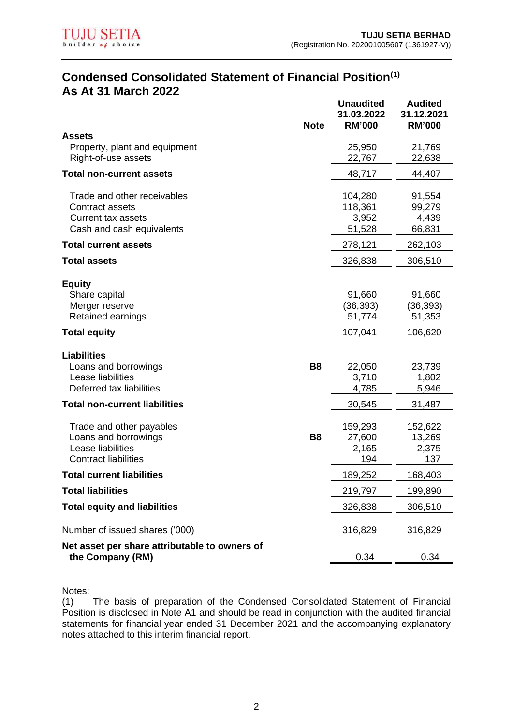

## **Condensed Consolidated Statement of Financial Position(1) As At 31 March 2022 Unaudited Audited**

|                                                                                                          | <b>Note</b> | unauulleu<br>31.03.2022<br><b>RM'000</b> | Auuneu<br>31.12.2021<br><b>RM'000</b>    |
|----------------------------------------------------------------------------------------------------------|-------------|------------------------------------------|------------------------------------------|
| <b>Assets</b><br>Property, plant and equipment<br>Right-of-use assets                                    |             | 25,950<br>22,767                         | 21,769<br>22,638                         |
| <b>Total non-current assets</b>                                                                          |             | 48,717                                   | 44,407                                   |
| Trade and other receivables<br>Contract assets<br><b>Current tax assets</b><br>Cash and cash equivalents |             | 104,280<br>118,361<br>3,952<br>51,528    | 91,554<br>99,279<br>4,439<br>66,831      |
| <b>Total current assets</b>                                                                              |             | 278,121                                  | 262,103                                  |
| <b>Total assets</b>                                                                                      |             | 326,838                                  | 306,510                                  |
| <b>Equity</b><br>Share capital<br>Merger reserve<br>Retained earnings<br><b>Total equity</b>             |             | 91,660<br>(36, 393)<br>51,774<br>107,041 | 91,660<br>(36, 393)<br>51,353<br>106,620 |
|                                                                                                          |             |                                          |                                          |
| <b>Liabilities</b><br>Loans and borrowings<br>Lease liabilities<br>Deferred tax liabilities              | <b>B8</b>   | 22,050<br>3,710<br>4,785                 | 23,739<br>1,802<br>5,946                 |
| <b>Total non-current liabilities</b>                                                                     |             | 30,545                                   | 31,487                                   |
| Trade and other payables<br>Loans and borrowings<br>Lease liabilities<br><b>Contract liabilities</b>     | <b>B8</b>   | 159,293<br>27,600<br>2,165<br>194        | 152,622<br>13,269<br>2,375<br>137        |
| <b>Total current liabilities</b>                                                                         |             | 189,252                                  | 168,403                                  |
| <b>Total liabilities</b>                                                                                 |             | 219,797                                  | 199,890                                  |
| <b>Total equity and liabilities</b>                                                                      |             | 326,838                                  | 306,510                                  |
| Number of issued shares ('000)                                                                           |             | 316,829                                  | 316,829                                  |
| Net asset per share attributable to owners of<br>the Company (RM)                                        |             | 0.34                                     | 0.34                                     |
|                                                                                                          |             |                                          |                                          |

Notes:

(1) The basis of preparation of the Condensed Consolidated Statement of Financial Position is disclosed in Note A1 and should be read in conjunction with the audited financial statements for financial year ended 31 December 2021 and the accompanying explanatory notes attached to this interim financial report.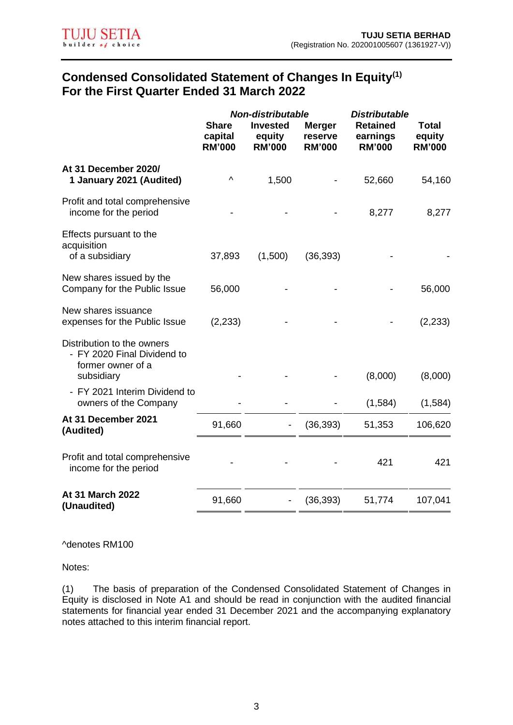# **Condensed Consolidated Statement of Changes In Equity(1) For the First Quarter Ended 31 March 2022**

|                                                                                              | <b>Share</b><br>capital<br><b>RM'000</b> | <b>Non-distributable</b><br><b>Invested</b><br>equity<br><b>RM'000</b> | <b>Merger</b><br>reserve<br><b>RM'000</b> | <b>Distributable</b><br><b>Retained</b><br>earnings<br><b>RM'000</b> | <b>Total</b><br>equity<br><b>RM'000</b> |
|----------------------------------------------------------------------------------------------|------------------------------------------|------------------------------------------------------------------------|-------------------------------------------|----------------------------------------------------------------------|-----------------------------------------|
| At 31 December 2020/<br>1 January 2021 (Audited)                                             | ۸                                        | 1,500                                                                  |                                           | 52,660                                                               | 54,160                                  |
| Profit and total comprehensive<br>income for the period                                      |                                          |                                                                        |                                           | 8,277                                                                | 8,277                                   |
| Effects pursuant to the<br>acquisition<br>of a subsidiary                                    | 37,893                                   | (1,500)                                                                | (36, 393)                                 |                                                                      |                                         |
| New shares issued by the<br>Company for the Public Issue                                     | 56,000                                   |                                                                        |                                           |                                                                      | 56,000                                  |
| New shares issuance<br>expenses for the Public Issue                                         | (2, 233)                                 |                                                                        |                                           |                                                                      | (2, 233)                                |
| Distribution to the owners<br>- FY 2020 Final Dividend to<br>former owner of a<br>subsidiary |                                          |                                                                        |                                           | (8,000)                                                              | (8,000)                                 |
| - FY 2021 Interim Dividend to<br>owners of the Company                                       |                                          |                                                                        |                                           | (1,584)                                                              | (1,584)                                 |
| At 31 December 2021<br>(Audited)                                                             | 91,660                                   |                                                                        | (36, 393)                                 | 51,353                                                               | 106,620                                 |
| Profit and total comprehensive<br>income for the period                                      |                                          |                                                                        |                                           | 421                                                                  | 421                                     |
| At 31 March 2022<br>(Unaudited)                                                              | 91,660                                   |                                                                        | (36, 393)                                 | 51,774                                                               | 107,041                                 |

^denotes RM100

Notes:

(1) The basis of preparation of the Condensed Consolidated Statement of Changes in Equity is disclosed in Note A1 and should be read in conjunction with the audited financial statements for financial year ended 31 December 2021 and the accompanying explanatory notes attached to this interim financial report.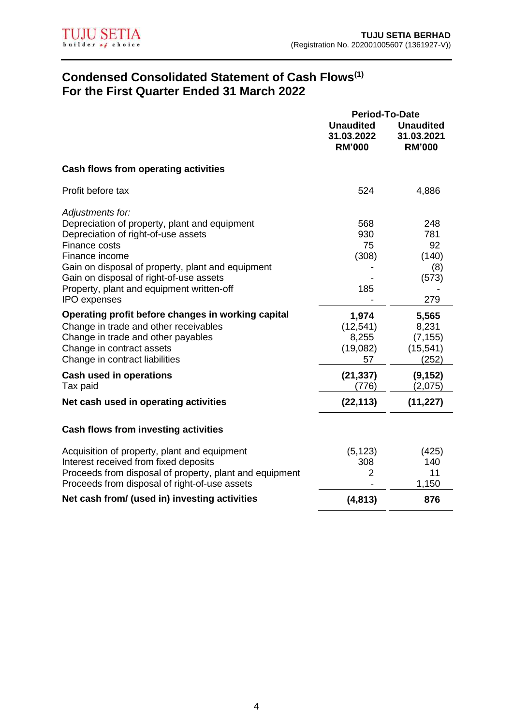# **Condensed Consolidated Statement of Cash Flows(1) For the First Quarter Ended 31 March 2022**

|                                                                                                                                                                                                                                                                                                                                                                       | Period-To-Date                                  |                                                           |
|-----------------------------------------------------------------------------------------------------------------------------------------------------------------------------------------------------------------------------------------------------------------------------------------------------------------------------------------------------------------------|-------------------------------------------------|-----------------------------------------------------------|
|                                                                                                                                                                                                                                                                                                                                                                       | <b>Unaudited</b><br>31.03.2022<br><b>RM'000</b> | <b>Unaudited</b><br>31.03.2021<br><b>RM'000</b>           |
| Cash flows from operating activities                                                                                                                                                                                                                                                                                                                                  |                                                 |                                                           |
| Profit before tax                                                                                                                                                                                                                                                                                                                                                     | 524                                             | 4,886                                                     |
| Adjustments for:<br>Depreciation of property, plant and equipment<br>Depreciation of right-of-use assets<br>Finance costs<br>Finance income<br>Gain on disposal of property, plant and equipment<br>Gain on disposal of right-of-use assets<br>Property, plant and equipment written-off<br><b>IPO</b> expenses<br>Operating profit before changes in working capital | 568<br>930<br>75<br>(308)<br>185<br>1,974       | 248<br>781<br>92<br>(140)<br>(8)<br>(573)<br>279<br>5,565 |
| Change in trade and other receivables<br>Change in trade and other payables<br>Change in contract assets<br>Change in contract liabilities                                                                                                                                                                                                                            | (12, 541)<br>8,255<br>(19,082)<br>57            | 8,231<br>(7, 155)<br>(15, 541)<br>(252)                   |
| <b>Cash used in operations</b><br>Tax paid                                                                                                                                                                                                                                                                                                                            | (21, 337)<br>(776)                              | (9, 152)<br>(2,075)                                       |
| Net cash used in operating activities                                                                                                                                                                                                                                                                                                                                 | (22, 113)                                       | (11, 227)                                                 |
| <b>Cash flows from investing activities</b>                                                                                                                                                                                                                                                                                                                           |                                                 |                                                           |
| Acquisition of property, plant and equipment<br>Interest received from fixed deposits<br>Proceeds from disposal of property, plant and equipment<br>Proceeds from disposal of right-of-use assets                                                                                                                                                                     | (5, 123)<br>308<br>2                            | (425)<br>140<br>11<br>1,150                               |
| Net cash from/ (used in) investing activities                                                                                                                                                                                                                                                                                                                         | (4, 813)                                        | 876                                                       |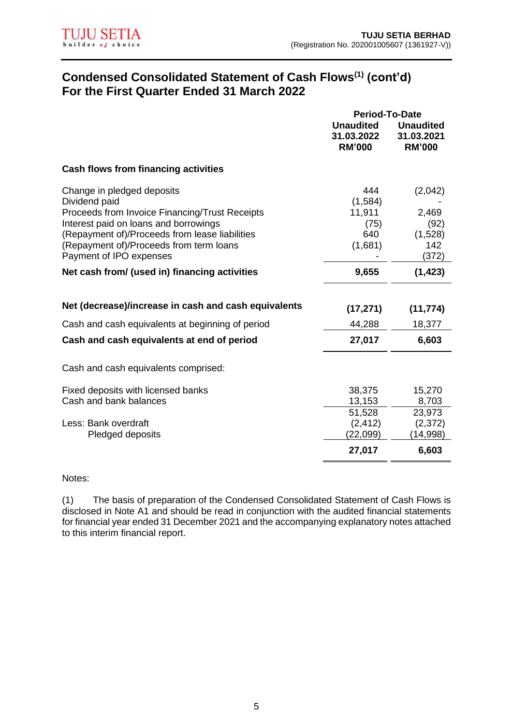# **Condensed Consolidated Statement of Cash Flows(1) (cont'd) For the First Quarter Ended 31 March 2022**

|                                                                                                                                                                                                                                                                | <b>Unaudited</b>                                   | <b>Unaudited</b>                                    |
|----------------------------------------------------------------------------------------------------------------------------------------------------------------------------------------------------------------------------------------------------------------|----------------------------------------------------|-----------------------------------------------------|
|                                                                                                                                                                                                                                                                | 31.03.2022<br><b>RM'000</b>                        | 31.03.2021<br><b>RM'000</b>                         |
| Cash flows from financing activities                                                                                                                                                                                                                           |                                                    |                                                     |
| Change in pledged deposits<br>Dividend paid<br>Proceeds from Invoice Financing/Trust Receipts<br>Interest paid on loans and borrowings<br>(Repayment of)/Proceeds from lease liabilities<br>(Repayment of)/Proceeds from term loans<br>Payment of IPO expenses | 444<br>(1,584)<br>11,911<br>(75)<br>640<br>(1,681) | (2,042)<br>2,469<br>(92)<br>(1,528)<br>142<br>(372) |
| Net cash from/ (used in) financing activities                                                                                                                                                                                                                  | 9,655                                              | (1, 423)                                            |
| Net (decrease)/increase in cash and cash equivalents                                                                                                                                                                                                           | (17, 271)                                          | (11, 774)                                           |
| Cash and cash equivalents at beginning of period                                                                                                                                                                                                               | 44,288                                             | 18,377                                              |
| Cash and cash equivalents at end of period                                                                                                                                                                                                                     | 27,017                                             | 6,603                                               |
| Cash and cash equivalents comprised:                                                                                                                                                                                                                           |                                                    |                                                     |
| Fixed deposits with licensed banks<br>Cash and bank balances<br>Less: Bank overdraft<br>Pledged deposits                                                                                                                                                       | 38,375<br>13,153<br>51,528<br>(2, 412)<br>(22,099) | 15,270<br>8,703<br>23,973<br>(2, 372)<br>(14,998)   |
|                                                                                                                                                                                                                                                                | 27,017                                             | 6,603                                               |

Notes:

(1) The basis of preparation of the Condensed Consolidated Statement of Cash Flows is disclosed in Note A1 and should be read in conjunction with the audited financial statements for financial year ended 31 December 2021 and the accompanying explanatory notes attached to this interim financial report.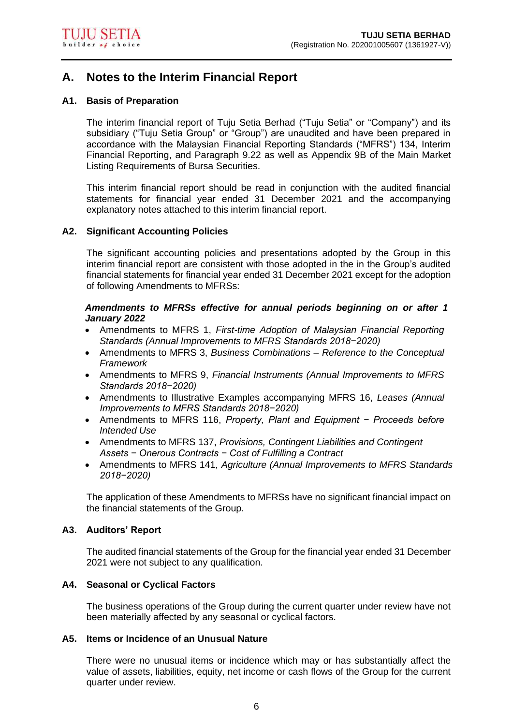# **A. Notes to the Interim Financial Report**

### **A1. Basis of Preparation**

The interim financial report of Tuju Setia Berhad ("Tuju Setia" or "Company") and its subsidiary ("Tuju Setia Group" or "Group") are unaudited and have been prepared in accordance with the Malaysian Financial Reporting Standards ("MFRS") 134, Interim Financial Reporting, and Paragraph 9.22 as well as Appendix 9B of the Main Market Listing Requirements of Bursa Securities.

This interim financial report should be read in conjunction with the audited financial statements for financial year ended 31 December 2021 and the accompanying explanatory notes attached to this interim financial report.

#### **A2. Significant Accounting Policies**

The significant accounting policies and presentations adopted by the Group in this interim financial report are consistent with those adopted in the in the Group's audited financial statements for financial year ended 31 December 2021 except for the adoption of following Amendments to MFRSs:

#### *Amendments to MFRSs effective for annual periods beginning on or after 1 January 2022*

- Amendments to MFRS 1, *First-time Adoption of Malaysian Financial Reporting Standards (Annual Improvements to MFRS Standards 2018−2020)*
- Amendments to MFRS 3, *Business Combinations – Reference to the Conceptual Framework*
- Amendments to MFRS 9, *Financial Instruments (Annual Improvements to MFRS Standards 2018−2020)*
- Amendments to Illustrative Examples accompanying MFRS 16, *Leases (Annual Improvements to MFRS Standards 2018−2020)*
- Amendments to MFRS 116, *Property, Plant and Equipment − Proceeds before Intended Use*
- Amendments to MFRS 137, *Provisions, Contingent Liabilities and Contingent Assets − Onerous Contracts − Cost of Fulfilling a Contract*
- Amendments to MFRS 141, *Agriculture (Annual Improvements to MFRS Standards 2018−2020)*

The application of these Amendments to MFRSs have no significant financial impact on the financial statements of the Group.

#### **A3. Auditors' Report**

The audited financial statements of the Group for the financial year ended 31 December 2021 were not subject to any qualification.

#### **A4. Seasonal or Cyclical Factors**

The business operations of the Group during the current quarter under review have not been materially affected by any seasonal or cyclical factors.

## **A5. Items or Incidence of an Unusual Nature**

There were no unusual items or incidence which may or has substantially affect the value of assets, liabilities, equity, net income or cash flows of the Group for the current quarter under review.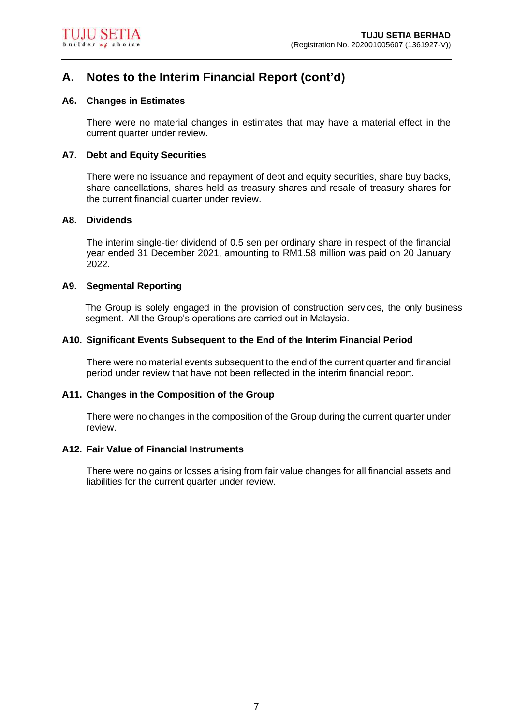# **A. Notes to the Interim Financial Report (cont'd)**

## **A6. Changes in Estimates**

There were no material changes in estimates that may have a material effect in the current quarter under review.

## **A7. Debt and Equity Securities**

There were no issuance and repayment of debt and equity securities, share buy backs, share cancellations, shares held as treasury shares and resale of treasury shares for the current financial quarter under review.

#### **A8. Dividends**

The interim single-tier dividend of 0.5 sen per ordinary share in respect of the financial year ended 31 December 2021, amounting to RM1.58 million was paid on 20 January 2022.

## **A9. Segmental Reporting**

The Group is solely engaged in the provision of construction services, the only business segment. All the Group's operations are carried out in Malaysia.

## **A10. Significant Events Subsequent to the End of the Interim Financial Period**

There were no material events subsequent to the end of the current quarter and financial period under review that have not been reflected in the interim financial report.

#### **A11. Changes in the Composition of the Group**

There were no changes in the composition of the Group during the current quarter under review.

#### **A12. Fair Value of Financial Instruments**

There were no gains or losses arising from fair value changes for all financial assets and liabilities for the current quarter under review.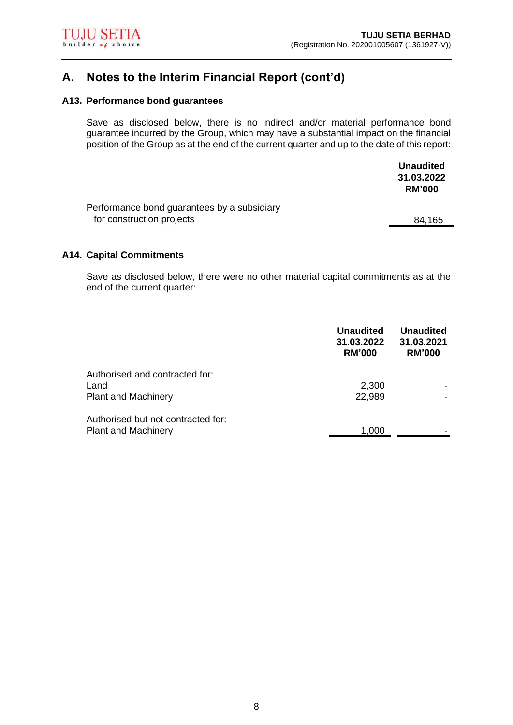# **A. Notes to the Interim Financial Report (cont'd)**

#### **A13. Performance bond guarantees**

Save as disclosed below, there is no indirect and/or material performance bond guarantee incurred by the Group, which may have a substantial impact on the financial position of the Group as at the end of the current quarter and up to the date of this report:

|                                             | <b>Unaudited</b> |
|---------------------------------------------|------------------|
|                                             | 31.03.2022       |
|                                             | <b>RM'000</b>    |
| Performance bond guarantees by a subsidiary |                  |
| for construction projects                   | 84,165           |

#### **A14. Capital Commitments**

Save as disclosed below, there were no other material capital commitments as at the end of the current quarter:

|                                                                      | <b>Unaudited</b><br>31.03.2022<br><b>RM'000</b> | <b>Unaudited</b><br>31.03.2021<br><b>RM'000</b> |
|----------------------------------------------------------------------|-------------------------------------------------|-------------------------------------------------|
| Authorised and contracted for:<br>Land<br><b>Plant and Machinery</b> | 2,300<br>22,989                                 |                                                 |
| Authorised but not contracted for:<br><b>Plant and Machinery</b>     | 1,000                                           |                                                 |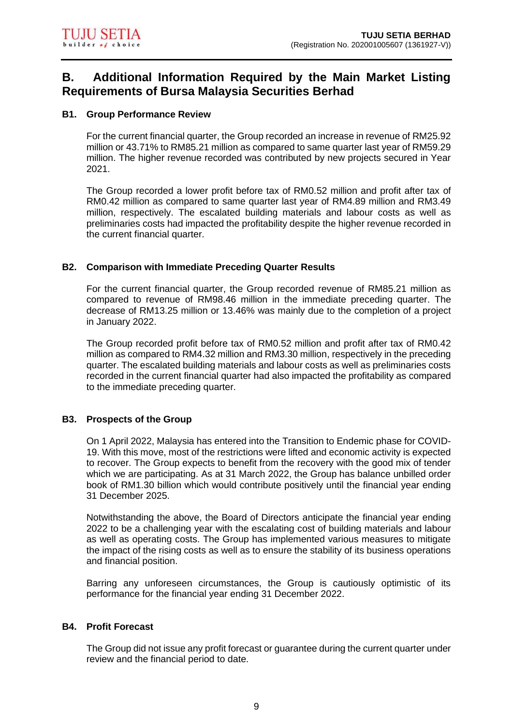#### **B1. Group Performance Review**

For the current financial quarter, the Group recorded an increase in revenue of RM25.92 million or 43.71% to RM85.21 million as compared to same quarter last year of RM59.29 million. The higher revenue recorded was contributed by new projects secured in Year 2021.

The Group recorded a lower profit before tax of RM0.52 million and profit after tax of RM0.42 million as compared to same quarter last year of RM4.89 million and RM3.49 million, respectively. The escalated building materials and labour costs as well as preliminaries costs had impacted the profitability despite the higher revenue recorded in the current financial quarter.

#### **B2. Comparison with Immediate Preceding Quarter Results**

For the current financial quarter, the Group recorded revenue of RM85.21 million as compared to revenue of RM98.46 million in the immediate preceding quarter. The decrease of RM13.25 million or 13.46% was mainly due to the completion of a project in January 2022.

The Group recorded profit before tax of RM0.52 million and profit after tax of RM0.42 million as compared to RM4.32 million and RM3.30 million, respectively in the preceding quarter. The escalated building materials and labour costs as well as preliminaries costs recorded in the current financial quarter had also impacted the profitability as compared to the immediate preceding quarter.

#### **B3. Prospects of the Group**

On 1 April 2022, Malaysia has entered into the Transition to Endemic phase for COVID-19. With this move, most of the restrictions were lifted and economic activity is expected to recover. The Group expects to benefit from the recovery with the good mix of tender which we are participating. As at 31 March 2022, the Group has balance unbilled order book of RM1.30 billion which would contribute positively until the financial year ending 31 December 2025.

Notwithstanding the above, the Board of Directors anticipate the financial year ending 2022 to be a challenging year with the escalating cost of building materials and labour as well as operating costs. The Group has implemented various measures to mitigate the impact of the rising costs as well as to ensure the stability of its business operations and financial position.

Barring any unforeseen circumstances, the Group is cautiously optimistic of its performance for the financial year ending 31 December 2022.

#### **B4. Profit Forecast**

The Group did not issue any profit forecast or guarantee during the current quarter under review and the financial period to date.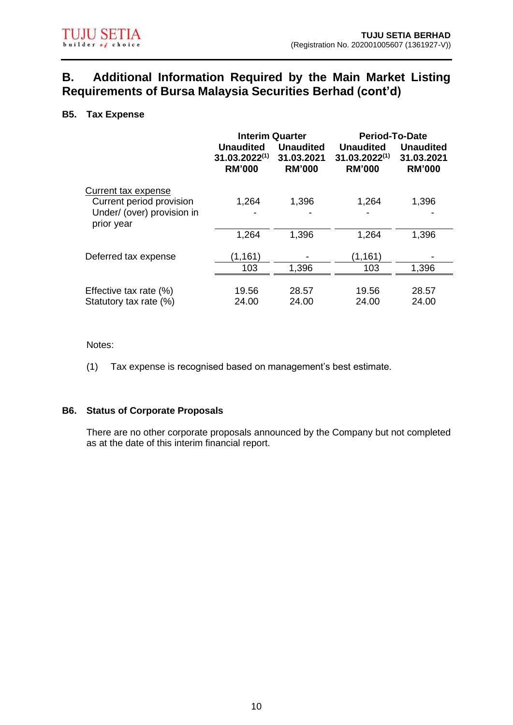## **B5. Tax Expense**

|                                                 | <b>Interim Quarter</b>                                  |                                                 | <b>Period-To-Date</b>                                   |                                                 |
|-------------------------------------------------|---------------------------------------------------------|-------------------------------------------------|---------------------------------------------------------|-------------------------------------------------|
|                                                 | <b>Unaudited</b><br>$31.03.2022^{(1)}$<br><b>RM'000</b> | <b>Unaudited</b><br>31.03.2021<br><b>RM'000</b> | <b>Unaudited</b><br>$31.03.2022^{(1)}$<br><b>RM'000</b> | <b>Unaudited</b><br>31.03.2021<br><b>RM'000</b> |
| Current tax expense<br>Current period provision | 1,264                                                   | 1,396                                           | 1,264                                                   | 1,396                                           |
| Under/ (over) provision in<br>prior year        |                                                         |                                                 |                                                         |                                                 |
|                                                 | 1,264                                                   | 1,396                                           | 1,264                                                   | 1,396                                           |
| Deferred tax expense                            | (1, 161)                                                |                                                 | (1, 161)                                                |                                                 |
|                                                 | 103                                                     | 1,396                                           | 103                                                     | 1,396                                           |
| Effective tax rate (%)                          | 19.56                                                   | 28.57                                           | 19.56                                                   | 28.57                                           |
| Statutory tax rate (%)                          | 24.00                                                   | 24.00                                           | 24.00                                                   | 24.00                                           |

Notes:

(1) Tax expense is recognised based on management's best estimate.

### **B6. Status of Corporate Proposals**

There are no other corporate proposals announced by the Company but not completed as at the date of this interim financial report.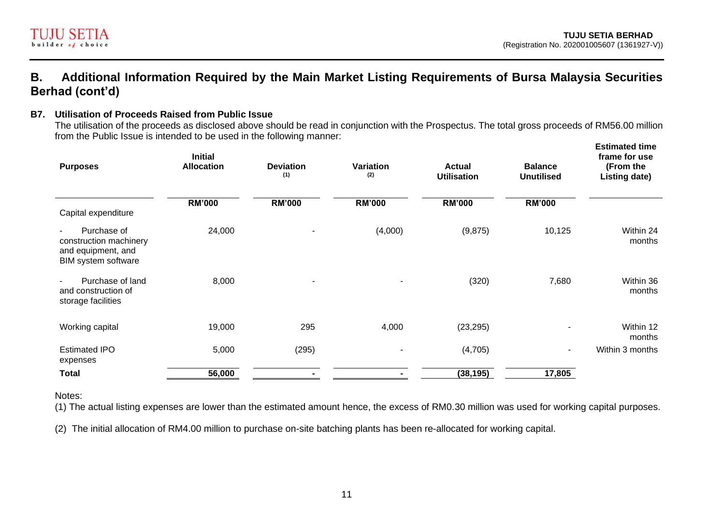

## **B7. Utilisation of Proceeds Raised from Public Issue**

The utilisation of the proceeds as disclosed above should be read in conjunction with the Prospectus. The total gross proceeds of RM56.00 million from the Public Issue is intended to be used in the following manner: **Estimated time** 

| <b>Purposes</b>                                                                                      | <b>Initial</b><br><b>Allocation</b> | <b>Deviation</b><br>(1) | Variation<br>(2)         | <b>Actual</b><br><b>Utilisation</b> | <b>Balance</b><br><b>Unutilised</b> | <b>Estimated time</b><br>frame for use<br>(From the<br>Listing date) |
|------------------------------------------------------------------------------------------------------|-------------------------------------|-------------------------|--------------------------|-------------------------------------|-------------------------------------|----------------------------------------------------------------------|
| Capital expenditure                                                                                  | <b>RM'000</b>                       | <b>RM'000</b>           | <b>RM'000</b>            | <b>RM'000</b>                       | <b>RM'000</b>                       |                                                                      |
| Purchase of<br>$\blacksquare$<br>construction machinery<br>and equipment, and<br>BIM system software | 24,000                              |                         | (4,000)                  | (9,875)                             | 10,125                              | Within 24<br>months                                                  |
| Purchase of land<br>$\blacksquare$<br>and construction of<br>storage facilities                      | 8,000                               |                         | $\overline{\phantom{a}}$ | (320)                               | 7,680                               | Within 36<br>months                                                  |
| Working capital                                                                                      | 19,000                              | 295                     | 4,000                    | (23, 295)                           | ۰                                   | Within 12<br>months                                                  |
| <b>Estimated IPO</b><br>expenses                                                                     | 5,000                               | (295)                   | $\overline{\phantom{a}}$ | (4,705)                             | $\blacksquare$                      | Within 3 months                                                      |
| <b>Total</b>                                                                                         | 56,000                              |                         |                          | (38, 195)                           | 17,805                              |                                                                      |

Notes:

(1) The actual listing expenses are lower than the estimated amount hence, the excess of RM0.30 million was used for working capital purposes.

(2) The initial allocation of RM4.00 million to purchase on-site batching plants has been re-allocated for working capital.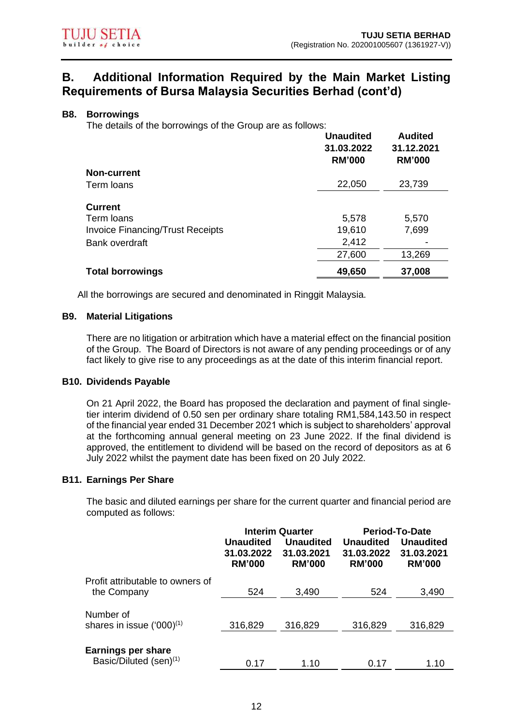#### **B8. Borrowings**

The details of the borrowings of the Group are as follows:

|                                         | <b>Unaudited</b><br>31.03.2022<br><b>RM'000</b> | <b>Audited</b><br>31.12.2021<br><b>RM'000</b> |
|-----------------------------------------|-------------------------------------------------|-----------------------------------------------|
| <b>Non-current</b>                      |                                                 |                                               |
| Term loans                              | 22,050                                          | 23,739                                        |
| <b>Current</b>                          |                                                 |                                               |
| Term loans                              | 5,578                                           | 5,570                                         |
| <b>Invoice Financing/Trust Receipts</b> | 19,610                                          | 7,699                                         |
| Bank overdraft                          | 2,412                                           |                                               |
|                                         | 27,600                                          | 13,269                                        |
| <b>Total borrowings</b>                 | 49,650                                          | 37,008                                        |

All the borrowings are secured and denominated in Ringgit Malaysia.

#### **B9. Material Litigations**

There are no litigation or arbitration which have a material effect on the financial position of the Group. The Board of Directors is not aware of any pending proceedings or of any fact likely to give rise to any proceedings as at the date of this interim financial report.

#### **B10. Dividends Payable**

On 21 April 2022, the Board has proposed the declaration and payment of final singletier interim dividend of 0.50 sen per ordinary share totaling RM1,584,143.50 in respect of the financial year ended 31 December 2021 which is subject to shareholders' approval at the forthcoming annual general meeting on 23 June 2022. If the final dividend is approved, the entitlement to dividend will be based on the record of depositors as at 6 July 2022 whilst the payment date has been fixed on 20 July 2022.

#### **B11. Earnings Per Share**

The basic and diluted earnings per share for the current quarter and financial period are computed as follows:

|                                                                 | <b>Interim Quarter</b><br><b>Unaudited</b><br><b>Unaudited</b><br>31.03.2022<br>31.03.2021<br><b>RM'000</b><br><b>RM'000</b> |         | <b>Unaudited</b><br>31.03.2022<br><b>RM'000</b> | <b>Period-To-Date</b><br><b>Unaudited</b><br>31.03.2021<br><b>RM'000</b> |
|-----------------------------------------------------------------|------------------------------------------------------------------------------------------------------------------------------|---------|-------------------------------------------------|--------------------------------------------------------------------------|
| Profit attributable to owners of<br>the Company                 | 524                                                                                                                          | 3,490   | 524                                             | 3,490                                                                    |
| Number of<br>shares in issue $(000)^{(1)}$                      | 316,829                                                                                                                      | 316,829 | 316,829                                         | 316,829                                                                  |
| <b>Earnings per share</b><br>Basic/Diluted (sen) <sup>(1)</sup> | 0.17                                                                                                                         | 1.10    | 0.17                                            | 1.10                                                                     |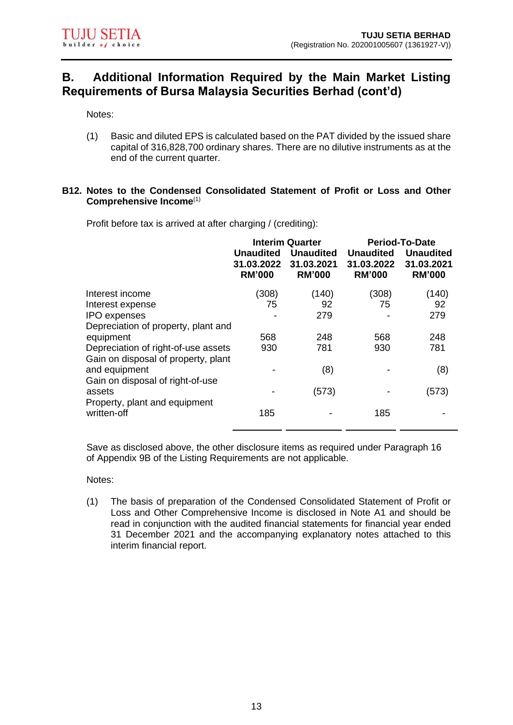Notes:

(1) Basic and diluted EPS is calculated based on the PAT divided by the issued share capital of 316,828,700 ordinary shares. There are no dilutive instruments as at the end of the current quarter.

#### **B12. Notes to the Condensed Consolidated Statement of Profit or Loss and Other Comprehensive Income**(1)

Profit before tax is arrived at after charging / (crediting):

|                                     | <b>Interim Quarter</b>                          |                                                 | <b>Period-To-Date</b>                           |                                                 |
|-------------------------------------|-------------------------------------------------|-------------------------------------------------|-------------------------------------------------|-------------------------------------------------|
|                                     | <b>Unaudited</b><br>31.03.2022<br><b>RM'000</b> | <b>Unaudited</b><br>31.03.2021<br><b>RM'000</b> | <b>Unaudited</b><br>31.03.2022<br><b>RM'000</b> | <b>Unaudited</b><br>31.03.2021<br><b>RM'000</b> |
| Interest income                     | (308)                                           | (140)                                           | (308)                                           | (140)                                           |
| Interest expense                    | 75                                              | 92                                              | 75                                              | 92                                              |
| <b>IPO</b> expenses                 |                                                 | 279                                             |                                                 | 279                                             |
| Depreciation of property, plant and |                                                 |                                                 |                                                 |                                                 |
| equipment                           | 568                                             | 248                                             | 568                                             | 248                                             |
| Depreciation of right-of-use assets | 930                                             | 781                                             | 930                                             | 781                                             |
| Gain on disposal of property, plant |                                                 |                                                 |                                                 |                                                 |
| and equipment                       |                                                 | (8)                                             |                                                 | (8)                                             |
| Gain on disposal of right-of-use    |                                                 |                                                 |                                                 |                                                 |
| assets                              |                                                 | (573)                                           |                                                 | (573)                                           |
| Property, plant and equipment       |                                                 |                                                 |                                                 |                                                 |
| written-off                         | 185                                             |                                                 | 185                                             |                                                 |
|                                     |                                                 |                                                 |                                                 |                                                 |

Save as disclosed above, the other disclosure items as required under Paragraph 16 of Appendix 9B of the Listing Requirements are not applicable.

Notes:

(1) The basis of preparation of the Condensed Consolidated Statement of Profit or Loss and Other Comprehensive Income is disclosed in Note A1 and should be read in conjunction with the audited financial statements for financial year ended 31 December 2021 and the accompanying explanatory notes attached to this interim financial report.